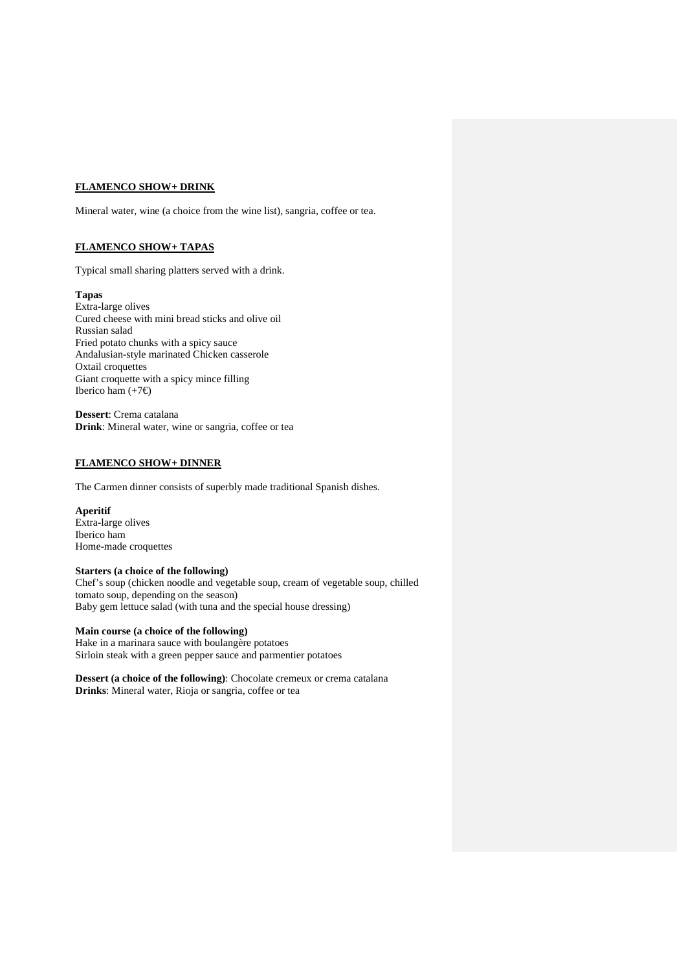### **FLAMENCO SHOW+ DRINK**

Mineral water, wine (a choice from the wine list), sangria, coffee or tea.

# **FLAMENCO SHOW+ TAPAS**

Typical small sharing platters served with a drink.

### **Tapas**

Extra-large olives Cured cheese with mini bread sticks and olive oil Russian salad Fried potato chunks with a spicy sauce Andalusian-style marinated Chicken casserole Oxtail croquettes Giant croquette with a spicy mince filling Iberico ham  $(+7\epsilon)$ 

**Dessert**: Crema catalana **Drink**: Mineral water, wine or sangria, coffee or tea

## **FLAMENCO SHOW+ DINNER**

The Carmen dinner consists of superbly made traditional Spanish dishes.

#### **Aperitif** Extra-large olives Iberico ham

Home-made croquettes

#### **Starters (a choice of the following)**

Chef's soup (chicken noodle and vegetable soup, cream of vegetable soup, chilled tomato soup, depending on the season) Baby gem lettuce salad (with tuna and the special house dressing)

#### **Main course (a choice of the following)**

Hake in a marinara sauce with boulangère potatoes Sirloin steak with a green pepper sauce and parmentier potatoes

**Dessert (a choice of the following)**: Chocolate cremeux or crema catalana **Drinks**: Mineral water, Rioja or sangria, coffee or tea